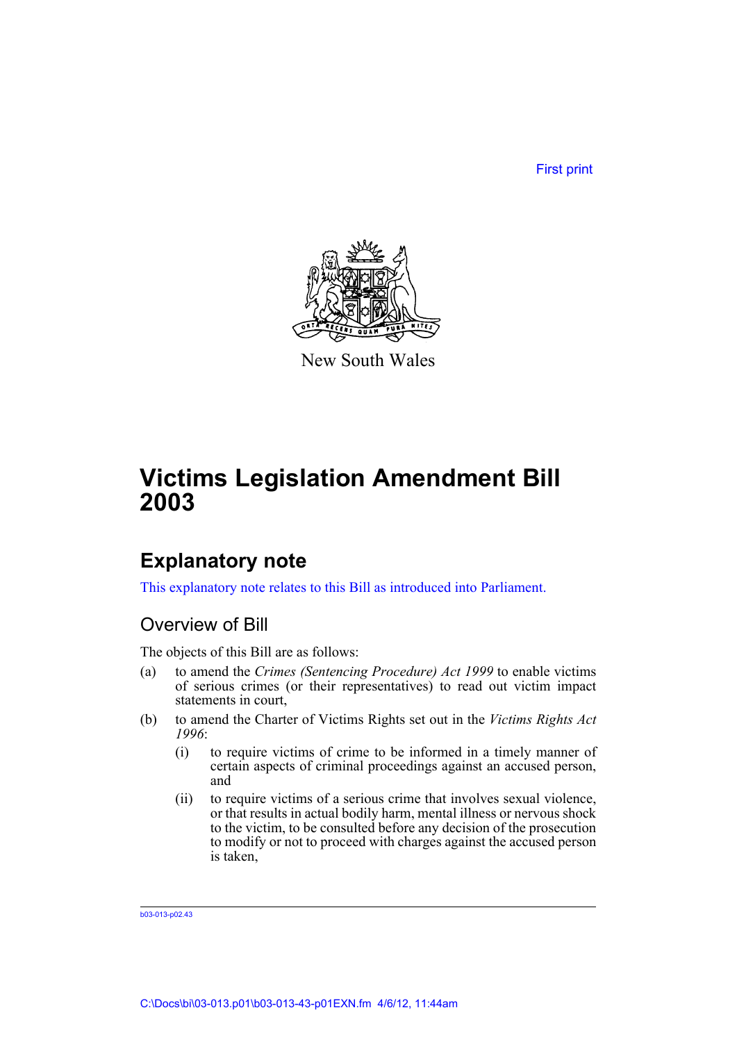First print



New South Wales

# **Victims Legislation Amendment Bill 2003**

## **Explanatory note**

This explanatory note relates to this Bill as introduced into Parliament.

### Overview of Bill

The objects of this Bill are as follows:

- (a) to amend the *Crimes (Sentencing Procedure) Act 1999* to enable victims of serious crimes (or their representatives) to read out victim impact statements in court,
- (b) to amend the Charter of Victims Rights set out in the *Victims Rights Act 1996*:
	- (i) to require victims of crime to be informed in a timely manner of certain aspects of criminal proceedings against an accused person, and
	- (ii) to require victims of a serious crime that involves sexual violence, or that results in actual bodily harm, mental illness or nervous shock to the victim, to be consulted before any decision of the prosecution to modify or not to proceed with charges against the accused person is taken,

b03-013-p02.43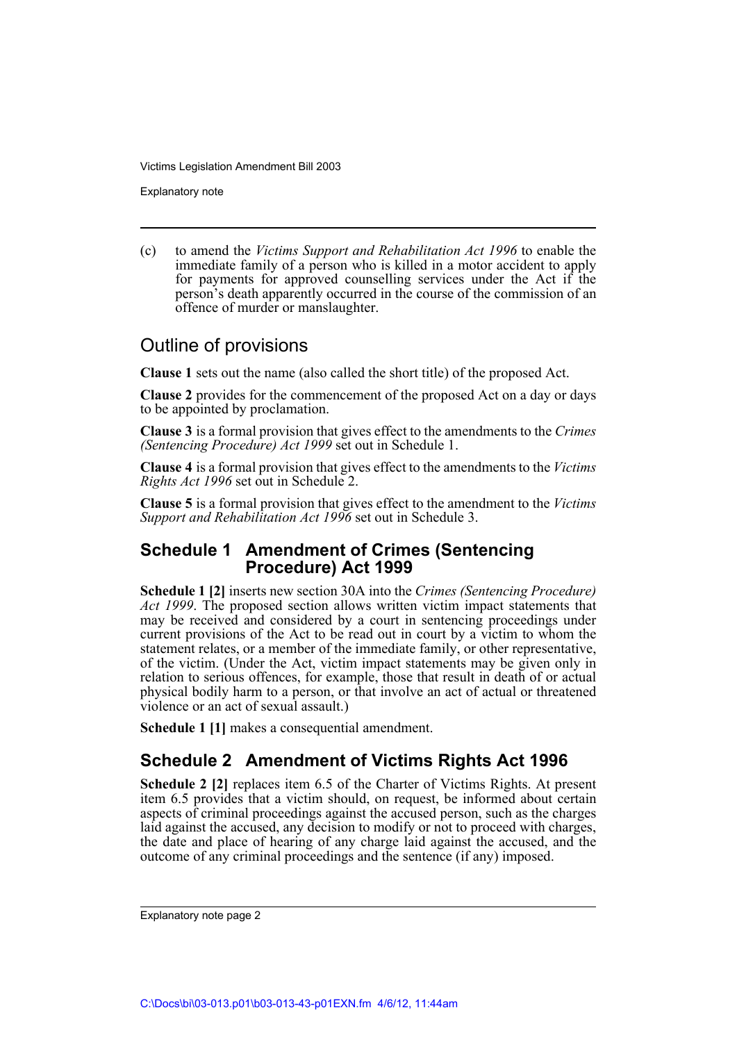Explanatory note

(c) to amend the *Victims Support and Rehabilitation Act 1996* to enable the immediate family of a person who is killed in a motor accident to apply for payments for approved counselling services under the Act if the person's death apparently occurred in the course of the commission of an offence of murder or manslaughter.

### Outline of provisions

**Clause 1** sets out the name (also called the short title) of the proposed Act.

**Clause 2** provides for the commencement of the proposed Act on a day or days to be appointed by proclamation.

**Clause 3** is a formal provision that gives effect to the amendments to the *Crimes (Sentencing Procedure) Act 1999* set out in Schedule 1.

**Clause 4** is a formal provision that gives effect to the amendments to the *Victims Rights Act 1996* set out in Schedule 2.

**Clause 5** is a formal provision that gives effect to the amendment to the *Victims Support and Rehabilitation Act 1996* set out in Schedule 3.

### **Schedule 1 Amendment of Crimes (Sentencing Procedure) Act 1999**

**Schedule 1 [2]** inserts new section 30A into the *Crimes (Sentencing Procedure) Act 1999*. The proposed section allows written victim impact statements that may be received and considered by a court in sentencing proceedings under current provisions of the Act to be read out in court by a victim to whom the statement relates, or a member of the immediate family, or other representative, of the victim. (Under the Act, victim impact statements may be given only in relation to serious offences, for example, those that result in death of or actual physical bodily harm to a person, or that involve an act of actual or threatened violence or an act of sexual assault.)

**Schedule 1 [1]** makes a consequential amendment.

### **Schedule 2 Amendment of Victims Rights Act 1996**

**Schedule 2 [2]** replaces item 6.5 of the Charter of Victims Rights. At present item 6.5 provides that a victim should, on request, be informed about certain aspects of criminal proceedings against the accused person, such as the charges laid against the accused, any decision to modify or not to proceed with charges, the date and place of hearing of any charge laid against the accused, and the outcome of any criminal proceedings and the sentence (if any) imposed.

Explanatory note page 2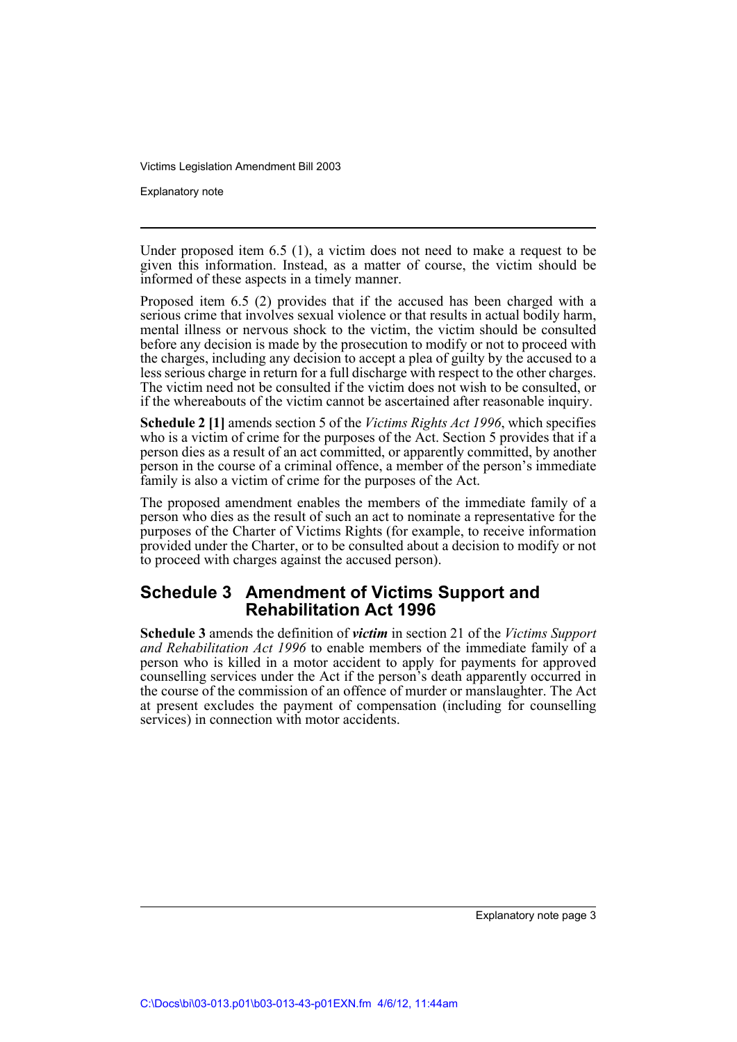Explanatory note

Under proposed item 6.5 (1), a victim does not need to make a request to be given this information. Instead, as a matter of course, the victim should be informed of these aspects in a timely manner.

Proposed item 6.5 (2) provides that if the accused has been charged with a serious crime that involves sexual violence or that results in actual bodily harm, mental illness or nervous shock to the victim, the victim should be consulted before any decision is made by the prosecution to modify or not to proceed with the charges, including any decision to accept a plea of guilty by the accused to a less serious charge in return for a full discharge with respect to the other charges. The victim need not be consulted if the victim does not wish to be consulted, or if the whereabouts of the victim cannot be ascertained after reasonable inquiry.

**Schedule 2 [1]** amends section 5 of the *Victims Rights Act 1996*, which specifies who is a victim of crime for the purposes of the Act. Section 5 provides that if a person dies as a result of an act committed, or apparently committed, by another person in the course of a criminal offence, a member of the person's immediate family is also a victim of crime for the purposes of the Act.

The proposed amendment enables the members of the immediate family of a person who dies as the result of such an act to nominate a representative for the purposes of the Charter of Victims Rights (for example, to receive information provided under the Charter, or to be consulted about a decision to modify or not to proceed with charges against the accused person).

### **Schedule 3 Amendment of Victims Support and Rehabilitation Act 1996**

**Schedule 3** amends the definition of *victim* in section 21 of the *Victims Support and Rehabilitation Act 1996* to enable members of the immediate family of a person who is killed in a motor accident to apply for payments for approved counselling services under the Act if the person's death apparently occurred in the course of the commission of an offence of murder or manslaughter. The Act at present excludes the payment of compensation (including for counselling services) in connection with motor accidents.

Explanatory note page 3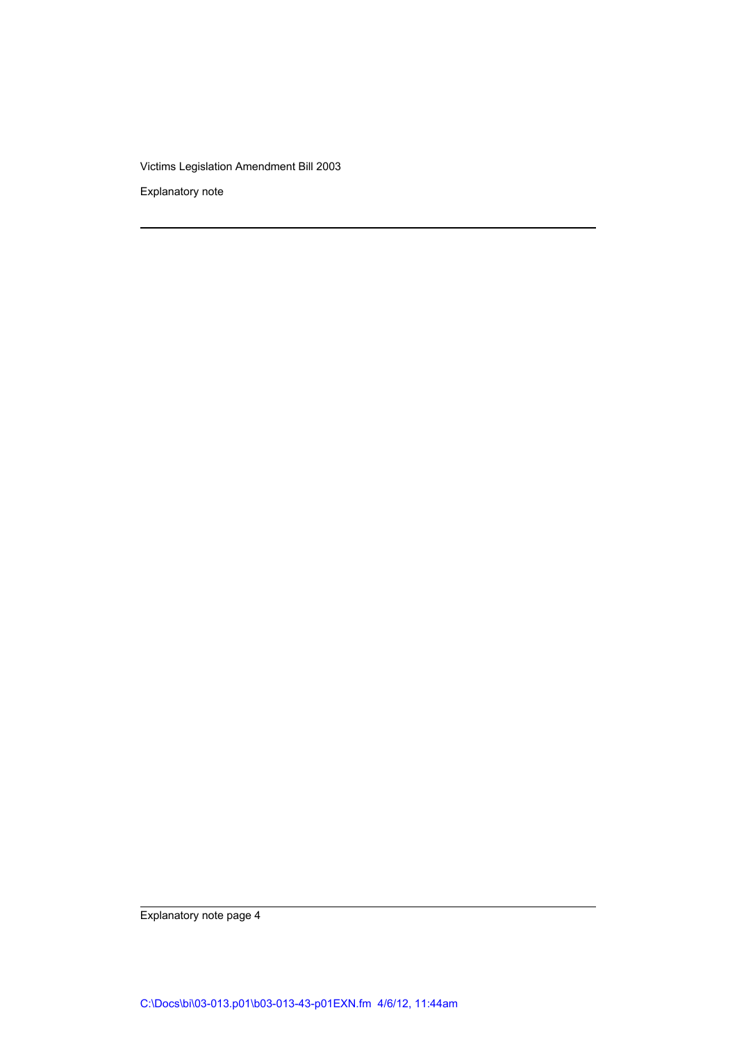Explanatory note

Explanatory note page 4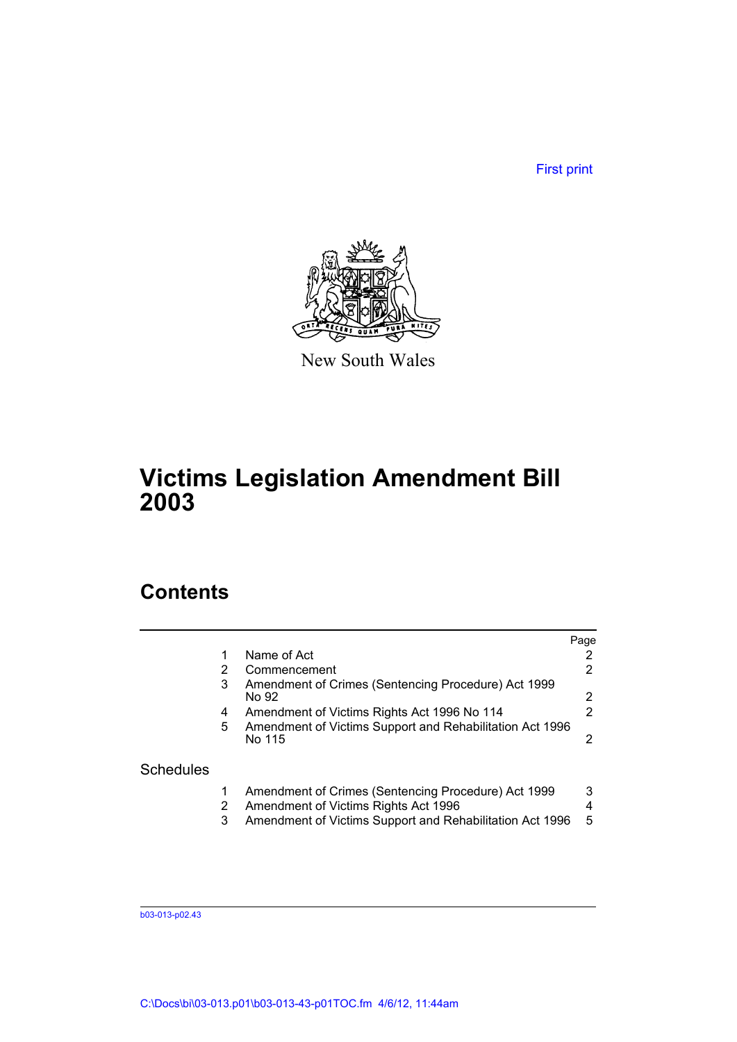First print



New South Wales

# **Victims Legislation Amendment Bill 2003**

## **Contents**

|                  |        |                                                                                                                                                         | Page        |
|------------------|--------|---------------------------------------------------------------------------------------------------------------------------------------------------------|-------------|
|                  |        | Name of Act                                                                                                                                             | 2           |
|                  | 2      | Commencement                                                                                                                                            | 2           |
|                  | 3      | Amendment of Crimes (Sentencing Procedure) Act 1999<br>No 92                                                                                            | 2           |
|                  | 4      | Amendment of Victims Rights Act 1996 No 114                                                                                                             | 2           |
|                  | 5      | Amendment of Victims Support and Rehabilitation Act 1996<br>No 115                                                                                      | 2           |
| <b>Schedules</b> |        |                                                                                                                                                         |             |
|                  | 2<br>3 | Amendment of Crimes (Sentencing Procedure) Act 1999<br>Amendment of Victims Rights Act 1996<br>Amendment of Victims Support and Rehabilitation Act 1996 | 3<br>4<br>5 |

b03-013-p02.43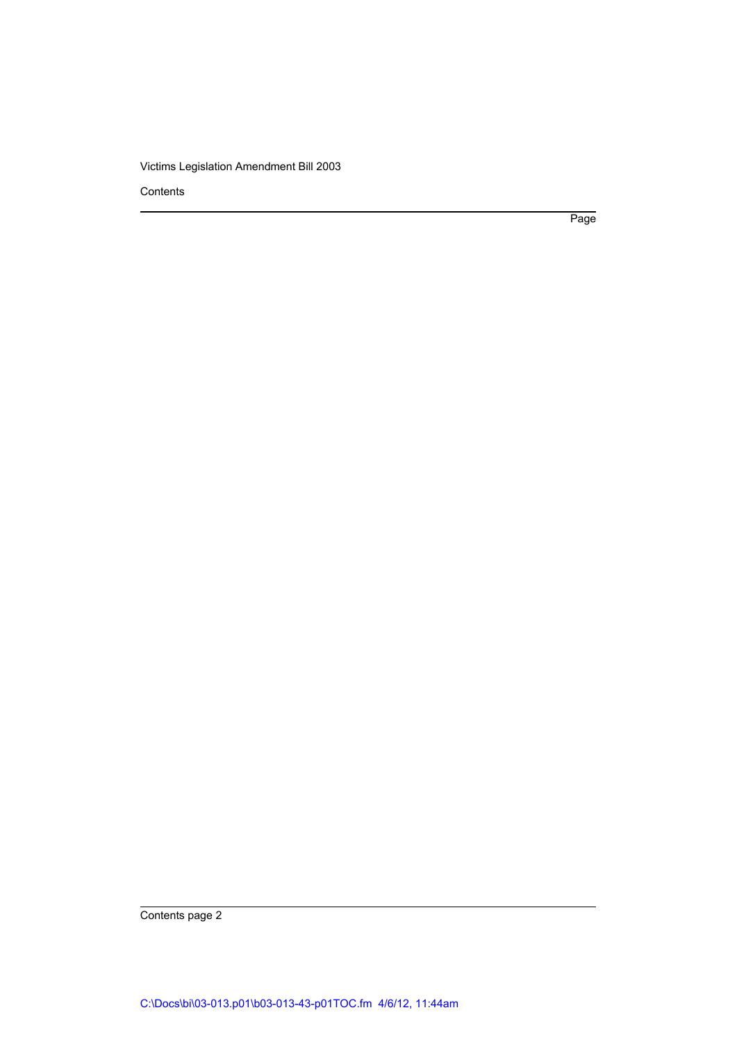Contents

Page

Contents page 2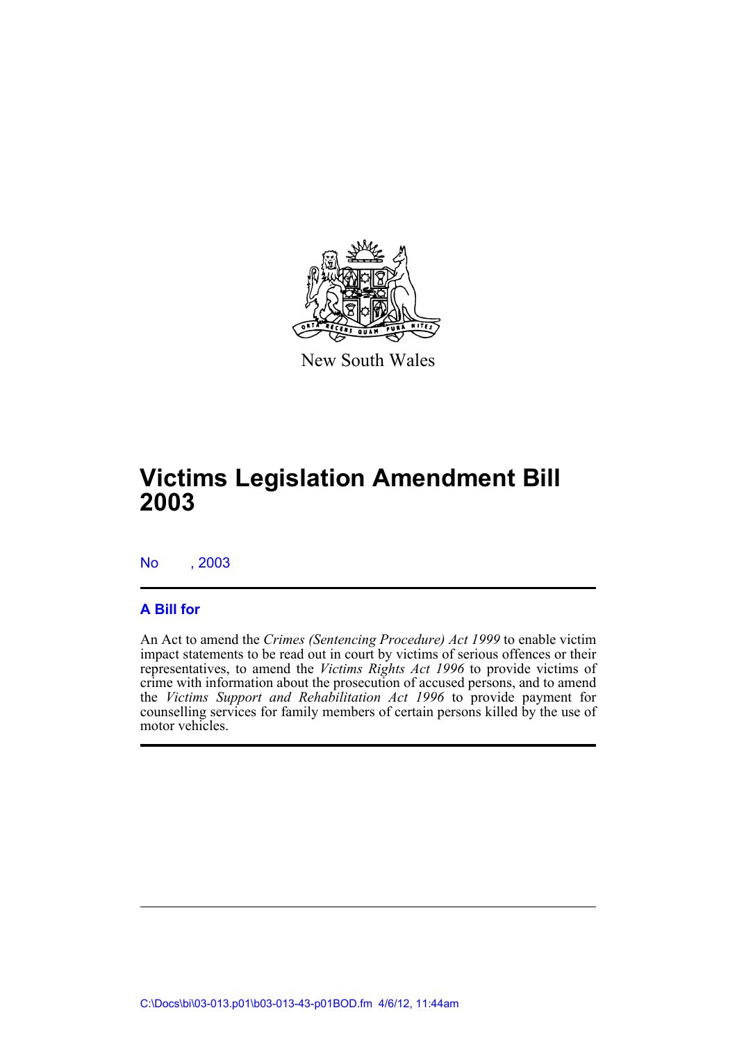

New South Wales

# **Victims Legislation Amendment Bill 2003**

No , 2003

#### **A Bill for**

An Act to amend the *Crimes (Sentencing Procedure) Act 1999* to enable victim impact statements to be read out in court by victims of serious offences or their representatives, to amend the *Victims Rights Act 1996* to provide victims of crime with information about the prosecution of accused persons, and to amend the *Victims Support and Rehabilitation Act 1996* to provide payment for counselling services for family members of certain persons killed by the use of motor vehicles.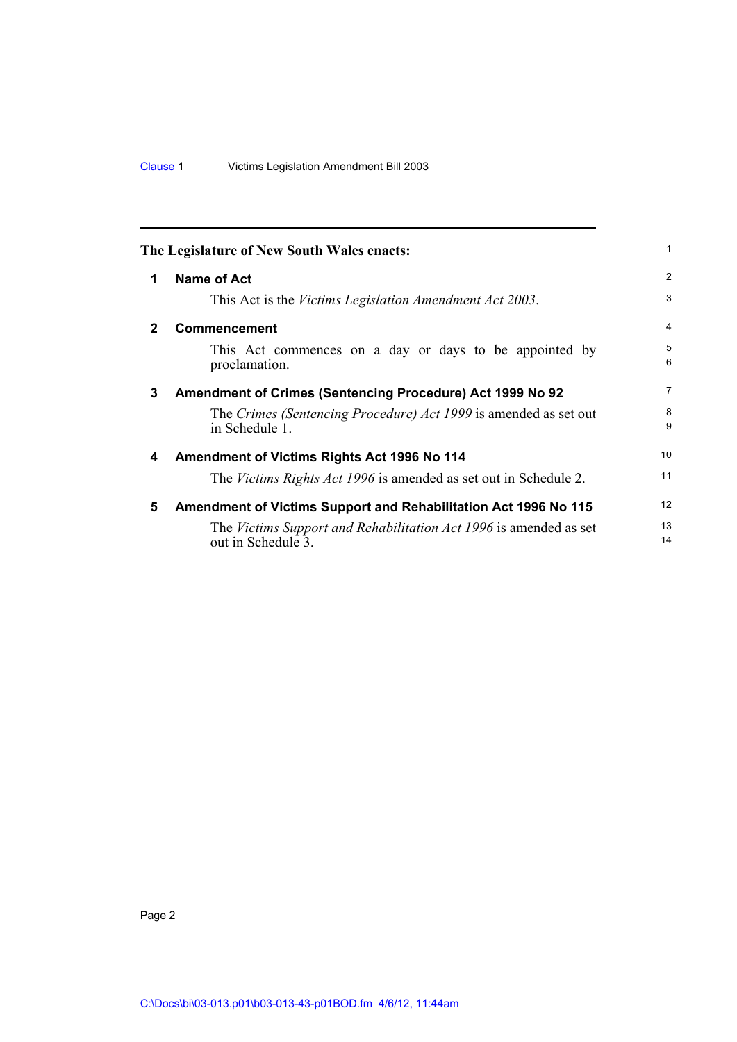<span id="page-7-4"></span><span id="page-7-3"></span><span id="page-7-2"></span><span id="page-7-1"></span><span id="page-7-0"></span>

| The Legislature of New South Wales enacts: |                                                                                         |                |
|--------------------------------------------|-----------------------------------------------------------------------------------------|----------------|
| 1                                          | Name of Act                                                                             | 2              |
|                                            | This Act is the <i>Victims Legislation Amendment Act 2003</i> .                         | 3              |
| $\mathbf 2$                                | <b>Commencement</b>                                                                     | 4              |
|                                            | This Act commences on a day or days to be appointed by<br>proclamation.                 | 5<br>6         |
| 3                                          | Amendment of Crimes (Sentencing Procedure) Act 1999 No 92                               | $\overline{7}$ |
|                                            | The Crimes (Sentencing Procedure) Act 1999 is amended as set out<br>in Schedule 1.      | 8<br>9         |
| 4                                          | Amendment of Victims Rights Act 1996 No 114                                             | 10             |
|                                            | The <i>Victims Rights Act 1996</i> is amended as set out in Schedule 2.                 | 11             |
| 5                                          | Amendment of Victims Support and Rehabilitation Act 1996 No 115                         | 12             |
|                                            | The Victims Support and Rehabilitation Act 1996 is amended as set<br>out in Schedule 3. | 13<br>14       |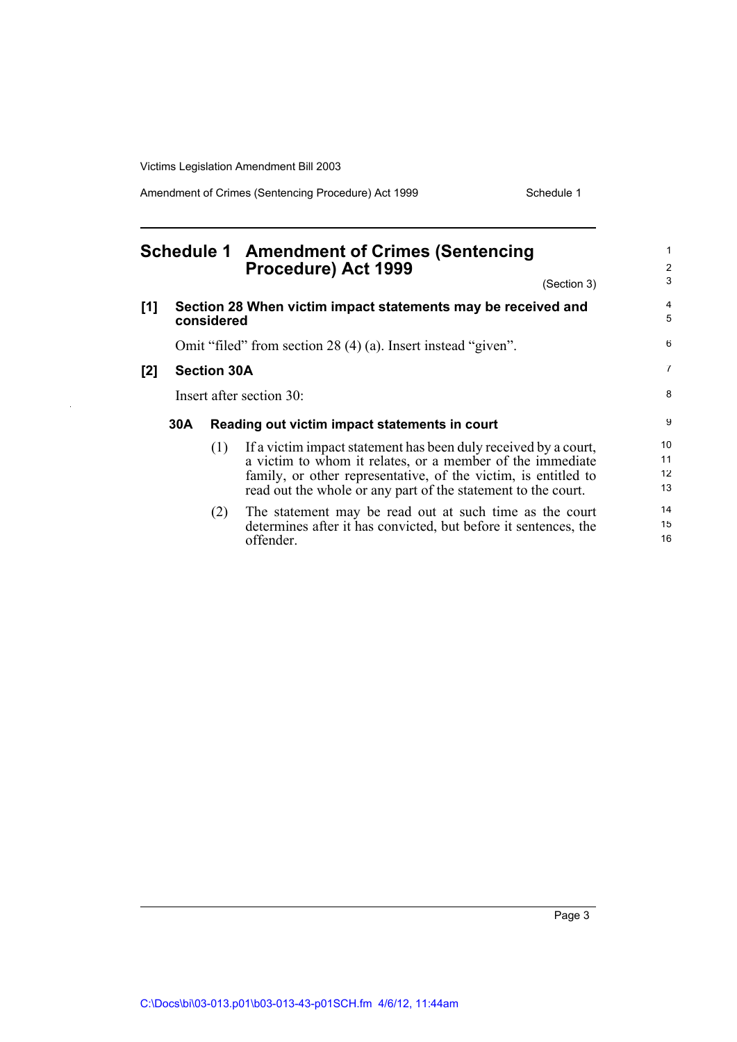Amendment of Crimes (Sentencing Procedure) Act 1999 Schedule 1

1 2 3

#### <span id="page-8-0"></span>**Schedule 1 Amendment of Crimes (Sentencing Procedure) Act 1999** (Section 3)

| [1] | Section 28 When victim impact statements may be received and<br>considered |                    |                                                                 | 4<br>5 |
|-----|----------------------------------------------------------------------------|--------------------|-----------------------------------------------------------------|--------|
|     | Omit "filed" from section 28 (4) (a). Insert instead "given".              |                    |                                                                 |        |
| [2] |                                                                            | <b>Section 30A</b> |                                                                 | 7      |
|     | Insert after section 30:                                                   |                    | 8                                                               |        |
|     | 30A                                                                        |                    | Reading out victim impact statements in court                   | 9      |
|     |                                                                            | (1)                | If a victim impact statement has been duly received by a court, | 10     |
|     |                                                                            |                    | a victim to whom it relates, or a member of the immediate       | 11     |
|     |                                                                            |                    | family, or other representative, of the victim, is entitled to  | 12     |
|     |                                                                            |                    | read out the whole or any part of the statement to the court.   | 13     |
|     |                                                                            | (2)                | The statement may be read out at such time as the court         | 14     |
|     |                                                                            |                    | determines after it has convicted, but before it sentences, the | 15     |
|     |                                                                            |                    | offender.                                                       | 16     |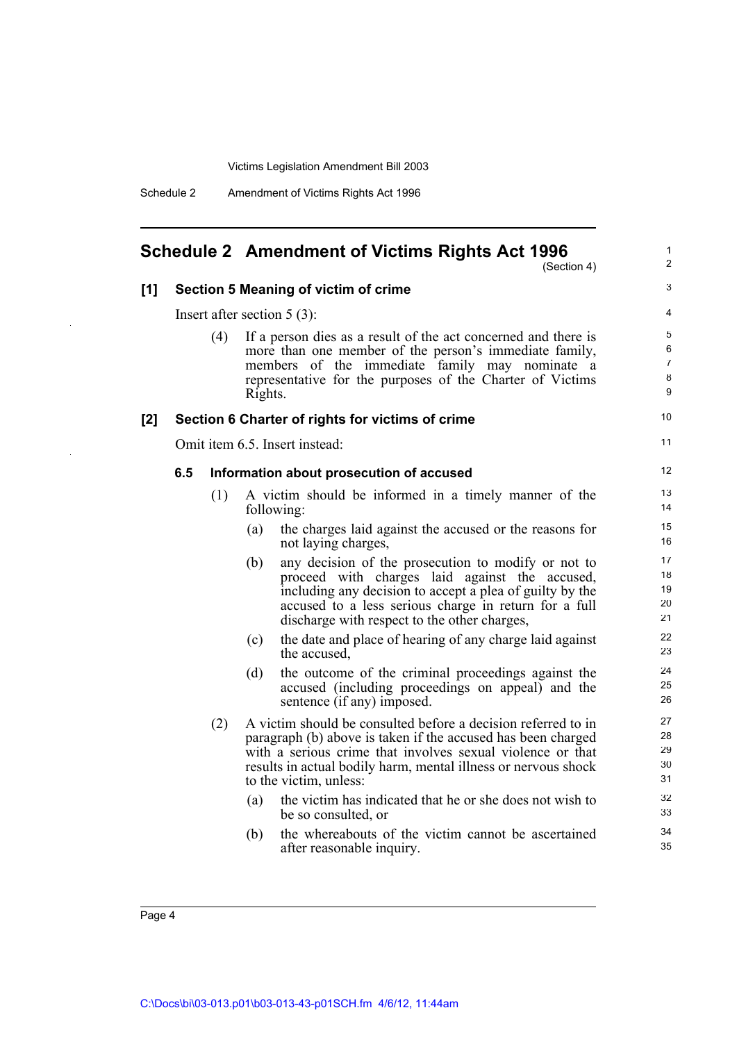<span id="page-9-0"></span>

|     |     |     | <b>Schedule 2 Amendment of Victims Rights Act 1996</b>                                                                                                                                                                                                                                  | (Section 4)                                                                                                                                                                                                                | $\mathbf{1}$<br>$\overline{2}$     |
|-----|-----|-----|-----------------------------------------------------------------------------------------------------------------------------------------------------------------------------------------------------------------------------------------------------------------------------------------|----------------------------------------------------------------------------------------------------------------------------------------------------------------------------------------------------------------------------|------------------------------------|
| [1] |     |     | Section 5 Meaning of victim of crime                                                                                                                                                                                                                                                    |                                                                                                                                                                                                                            | 3                                  |
|     |     |     | Insert after section $5(3)$ :                                                                                                                                                                                                                                                           |                                                                                                                                                                                                                            | 4                                  |
|     |     | (4) | If a person dies as a result of the act concerned and there is<br>more than one member of the person's immediate family,<br>members of the immediate family may nominate a<br>representative for the purposes of the Charter of Victims<br>Rights.                                      |                                                                                                                                                                                                                            | 5<br>6<br>$\overline{7}$<br>8<br>9 |
| [2] |     |     | Section 6 Charter of rights for victims of crime                                                                                                                                                                                                                                        |                                                                                                                                                                                                                            | 10                                 |
|     |     |     | Omit item 6.5. Insert instead:                                                                                                                                                                                                                                                          |                                                                                                                                                                                                                            | 11                                 |
|     | 6.5 |     | Information about prosecution of accused                                                                                                                                                                                                                                                |                                                                                                                                                                                                                            | 12                                 |
|     |     | (1) | A victim should be informed in a timely manner of the<br>following:                                                                                                                                                                                                                     |                                                                                                                                                                                                                            | 13<br>14                           |
|     |     |     | (a)<br>not laying charges,                                                                                                                                                                                                                                                              | the charges laid against the accused or the reasons for                                                                                                                                                                    | 15<br>16                           |
|     |     |     | (b)<br>discharge with respect to the other charges,                                                                                                                                                                                                                                     | any decision of the prosecution to modify or not to<br>proceed with charges laid against the accused,<br>including any decision to accept a plea of guilty by the<br>accused to a less serious charge in return for a full | 17<br>18<br>19<br>20<br>21         |
|     |     |     | (c)<br>the accused.                                                                                                                                                                                                                                                                     | the date and place of hearing of any charge laid against                                                                                                                                                                   | 22<br>23                           |
|     |     |     | (d)<br>sentence (if any) imposed.                                                                                                                                                                                                                                                       | the outcome of the criminal proceedings against the<br>accused (including proceedings on appeal) and the                                                                                                                   | 24<br>25<br>26                     |
|     |     | (2) | A victim should be consulted before a decision referred to in<br>paragraph (b) above is taken if the accused has been charged<br>with a serious crime that involves sexual violence or that<br>results in actual bodily harm, mental illness or nervous shock<br>to the victim, unless: |                                                                                                                                                                                                                            | 27<br>28<br>29<br>30<br>31         |
|     |     |     | (a)<br>be so consulted, or                                                                                                                                                                                                                                                              | the victim has indicated that he or she does not wish to                                                                                                                                                                   | 32<br>33                           |
|     |     |     | (b)<br>after reasonable inquiry.                                                                                                                                                                                                                                                        | the whereabouts of the victim cannot be ascertained                                                                                                                                                                        | 34<br>35                           |

Page 4

 $\ddot{\phantom{a}}$